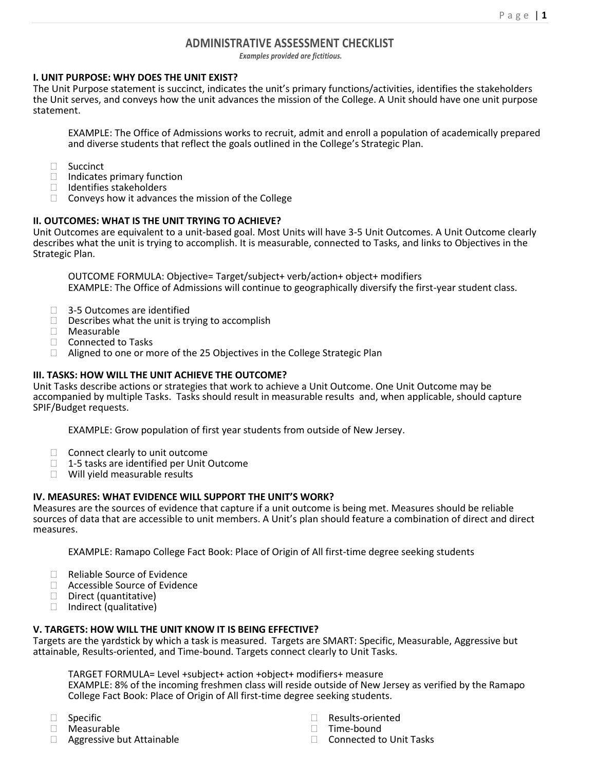## **ADMINISTRATIVE ASSESSMENT CHECKLIST**

*Examples provided are fictitious.*

### **I. UNIT PURPOSE: WHY DOES THE UNIT EXIST?**

The Unit Purpose statement is succinct, indicates the unit's primary functions/activities, identifies the stakeholders the Unit serves, and conveys how the unit advances the mission of the College. A Unit should have one unit purpose statement.

EXAMPLE: The Office of Admissions works to recruit, admit and enroll a population of academically prepared and diverse students that reflect the goals outlined in the College's Strategic Plan.

- □ Succinct
- $\Box$  Indicates primary function
- $\Box$  Identifies stakeholders
- $\Box$  Conveys how it advances the mission of the College

## **II. OUTCOMES: WHAT IS THE UNIT TRYING TO ACHIEVE?**

Unit Outcomes are equivalent to a unit-based goal. Most Units will have 3-5 Unit Outcomes. A Unit Outcome clearly describes what the unit is trying to accomplish. It is measurable, connected to Tasks, and links to Objectives in the Strategic Plan.

OUTCOME FORMULA: Objective= Target/subject+ verb/action+ object+ modifiers EXAMPLE: The Office of Admissions will continue to geographically diversify the first-year student class.

- □ 3-5 Outcomes are identified
- $\square$  Describes what the unit is trying to accomplish
- Measurable
- □ Connected to Tasks
- □ Aligned to one or more of the 25 Objectives in the College Strategic Plan

## **III. TASKS: HOW WILL THE UNIT ACHIEVE THE OUTCOME?**

Unit Tasks describe actions or strategies that work to achieve a Unit Outcome. One Unit Outcome may be accompanied by multiple Tasks. Tasks should result in measurable results and, when applicable, should capture SPIF/Budget requests.

EXAMPLE: Grow population of first year students from outside of New Jersey.

- $\Box$  Connect clearly to unit outcome
- $\Box$  1-5 tasks are identified per Unit Outcome
- Will yield measurable results

### **IV. MEASURES: WHAT EVIDENCE WILL SUPPORT THE UNIT'S WORK?**

Measures are the sources of evidence that capture if a unit outcome is being met. Measures should be reliable sources of data that are accessible to unit members. A Unit's plan should feature a combination of direct and direct measures.

EXAMPLE: Ramapo College Fact Book: Place of Origin of All first-time degree seeking students

- □ Reliable Source of Evidence
- □ Accessible Source of Evidence
- $\Box$  Direct (quantitative)
- $\Box$  Indirect (qualitative)

# **V. TARGETS: HOW WILL THE UNIT KNOW IT IS BEING EFFECTIVE?**

Targets are the yardstick by which a task is measured. Targets are SMART: Specific, Measurable, Aggressive but attainable, Results-oriented, and Time-bound. Targets connect clearly to Unit Tasks.

TARGET FORMULA= Level +subject+ action +object+ modifiers+ measure

EXAMPLE: 8% of the incoming freshmen class will reside outside of New Jersey as verified by the Ramapo College Fact Book: Place of Origin of All first-time degree seeking students.

- □ Specific
- Measurable
- □ Aggressive but Attainable
- □ Results-oriented
- □ Time-bound
- $\Box$  Connected to Unit Tasks